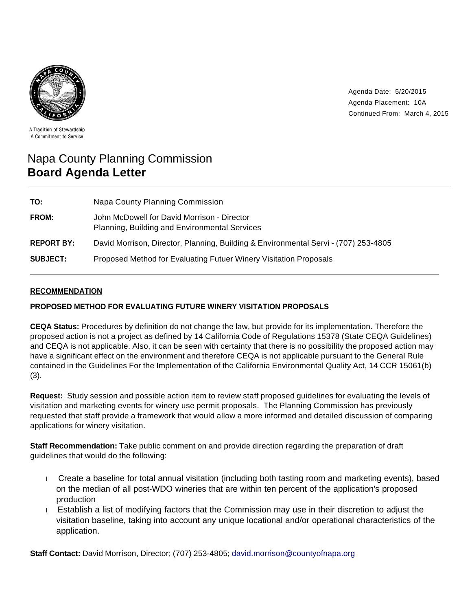

Agenda Date: 5/20/2015 Agenda Placement: 10A Continued From: March 4, 2015

A Tradition of Stewardship A Commitment to Service

# Napa County Planning Commission **Board Agenda Letter**

| TO:               | Napa County Planning Commission                                                              |
|-------------------|----------------------------------------------------------------------------------------------|
| FROM:             | John McDowell for David Morrison - Director<br>Planning, Building and Environmental Services |
| <b>REPORT BY:</b> | David Morrison, Director, Planning, Building & Environmental Servi - (707) 253-4805          |
| <b>SUBJECT:</b>   | Proposed Method for Evaluating Futuer Winery Visitation Proposals                            |

## **RECOMMENDATION**

#### **PROPOSED METHOD FOR EVALUATING FUTURE WINERY VISITATION PROPOSALS**

**CEQA Status:** Procedures by definition do not change the law, but provide for its implementation. Therefore the proposed action is not a project as defined by 14 California Code of Regulations 15378 (State CEQA Guidelines) and CEQA is not applicable. Also, it can be seen with certainty that there is no possibility the proposed action may have a significant effect on the environment and therefore CEQA is not applicable pursuant to the General Rule contained in the Guidelines For the Implementation of the California Environmental Quality Act, 14 CCR 15061(b) (3).

**Request:** Study session and possible action item to review staff proposed guidelines for evaluating the levels of visitation and marketing events for winery use permit proposals. The Planning Commission has previously requested that staff provide a framework that would allow a more informed and detailed discussion of comparing applications for winery visitation.

**Staff Recommendation:** Take public comment on and provide direction regarding the preparation of draft guidelines that would do the following:

- Create a baseline for total annual visitation (including both tasting room and marketing events), based on the median of all post-WDO wineries that are within ten percent of the application's proposed production
- Establish a list of modifying factors that the Commission may use in their discretion to adjust the visitation baseline, taking into account any unique locational and/or operational characteristics of the application.

**Staff Contact:** David Morrison, Director; (707) 253-4805; david.morrison@countyofnapa.org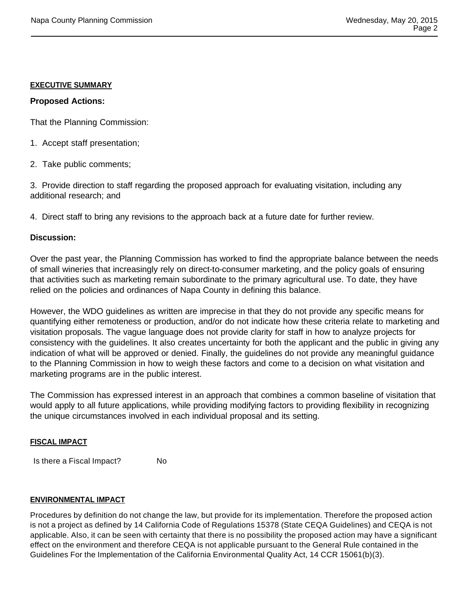#### **EXECUTIVE SUMMARY**

## **Proposed Actions:**

That the Planning Commission:

- 1. Accept staff presentation;
- 2. Take public comments;

3. Provide direction to staff regarding the proposed approach for evaluating visitation, including any additional research; and

4. Direct staff to bring any revisions to the approach back at a future date for further review.

## **Discussion:**

Over the past year, the Planning Commission has worked to find the appropriate balance between the needs of small wineries that increasingly rely on direct-to-consumer marketing, and the policy goals of ensuring that activities such as marketing remain subordinate to the primary agricultural use. To date, they have relied on the policies and ordinances of Napa County in defining this balance.

However, the WDO guidelines as written are imprecise in that they do not provide any specific means for quantifying either remoteness or production, and/or do not indicate how these criteria relate to marketing and visitation proposals. The vague language does not provide clarity for staff in how to analyze projects for consistency with the guidelines. It also creates uncertainty for both the applicant and the public in giving any indication of what will be approved or denied. Finally, the guidelines do not provide any meaningful guidance to the Planning Commission in how to weigh these factors and come to a decision on what visitation and marketing programs are in the public interest.

The Commission has expressed interest in an approach that combines a common baseline of visitation that would apply to all future applications, while providing modifying factors to providing flexibility in recognizing the unique circumstances involved in each individual proposal and its setting.

#### **FISCAL IMPACT**

Is there a Fiscal Impact? No

#### **ENVIRONMENTAL IMPACT**

Procedures by definition do not change the law, but provide for its implementation. Therefore the proposed action is not a project as defined by 14 California Code of Regulations 15378 (State CEQA Guidelines) and CEQA is not applicable. Also, it can be seen with certainty that there is no possibility the proposed action may have a significant effect on the environment and therefore CEQA is not applicable pursuant to the General Rule contained in the Guidelines For the Implementation of the California Environmental Quality Act, 14 CCR 15061(b)(3).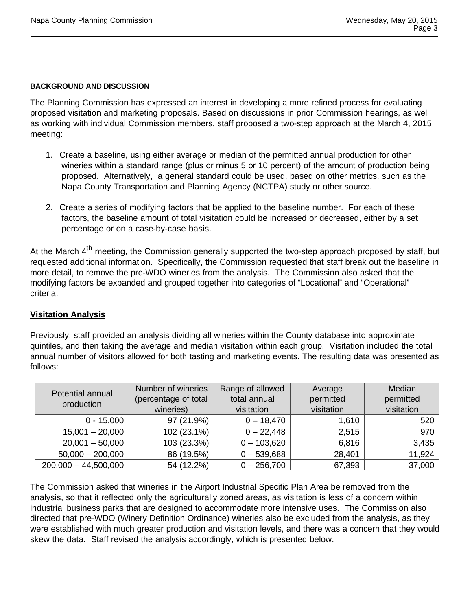## **BACKGROUND AND DISCUSSION**

The Planning Commission has expressed an interest in developing a more refined process for evaluating proposed visitation and marketing proposals. Based on discussions in prior Commission hearings, as well as working with individual Commission members, staff proposed a two-step approach at the March 4, 2015 meeting:

- 1. Create a baseline, using either average or median of the permitted annual production for other wineries within a standard range (plus or minus 5 or 10 percent) of the amount of production being proposed. Alternatively, a general standard could be used, based on other metrics, such as the Napa County Transportation and Planning Agency (NCTPA) study or other source.
- 2. Create a series of modifying factors that be applied to the baseline number. For each of these factors, the baseline amount of total visitation could be increased or decreased, either by a set percentage or on a case-by-case basis.

At the March 4<sup>th</sup> meeting, the Commission generally supported the two-step approach proposed by staff, but requested additional information. Specifically, the Commission requested that staff break out the baseline in more detail, to remove the pre-WDO wineries from the analysis. The Commission also asked that the modifying factors be expanded and grouped together into categories of "Locational" and "Operational" criteria.

## **Visitation Analysis**

Previously, staff provided an analysis dividing all wineries within the County database into approximate quintiles, and then taking the average and median visitation within each group. Visitation included the total annual number of visitors allowed for both tasting and marketing events. The resulting data was presented as follows:

| Potential annual<br>production | Number of wineries<br>(percentage of total<br>wineries) | Range of allowed<br>total annual<br>visitation | Average<br>permitted<br>visitation | Median<br>permitted<br>visitation |
|--------------------------------|---------------------------------------------------------|------------------------------------------------|------------------------------------|-----------------------------------|
| $0 - 15,000$                   | 97 (21.9%)                                              | $0 - 18,470$                                   | 1,610                              | 520                               |
| $15,001 - 20,000$              | 102 (23.1%)                                             | $0 - 22,448$                                   | 2,515                              | 970                               |
| $20,001 - 50,000$              | 103 (23.3%)                                             | $0 - 103,620$                                  | 6,816                              | 3,435                             |
| $50,000 - 200,000$             | 86 (19.5%)                                              | $0 - 539,688$                                  | 28,401                             | 11,924                            |
| $200,000 - 44,500,000$         | 54 (12.2%)                                              | $0 - 256,700$                                  | 67,393                             | 37,000                            |

The Commission asked that wineries in the Airport Industrial Specific Plan Area be removed from the analysis, so that it reflected only the agriculturally zoned areas, as visitation is less of a concern within industrial business parks that are designed to accommodate more intensive uses. The Commission also directed that pre-WDO (Winery Definition Ordinance) wineries also be excluded from the analysis, as they were established with much greater production and visitation levels, and there was a concern that they would skew the data. Staff revised the analysis accordingly, which is presented below.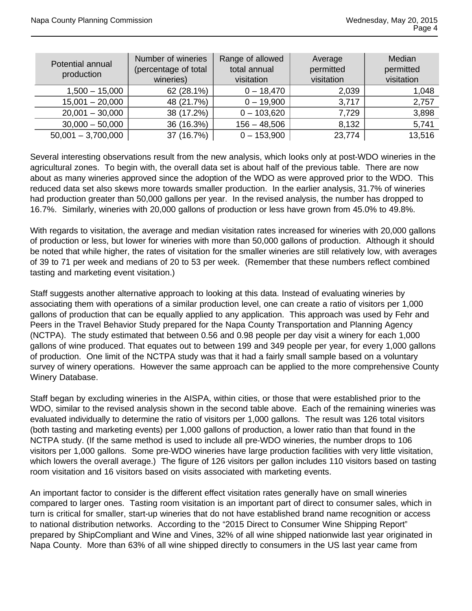| Potential annual<br>production | Number of wineries<br>(percentage of total<br>wineries) | Range of allowed<br>total annual<br>visitation | Average<br>permitted<br>visitation | Median<br>permitted<br>visitation |
|--------------------------------|---------------------------------------------------------|------------------------------------------------|------------------------------------|-----------------------------------|
| $1,500 - 15,000$               | 62 (28.1%)                                              | $0 - 18,470$                                   | 2,039                              | 1,048                             |
| $15,001 - 20,000$              | 48 (21.7%)                                              | $0 - 19,900$                                   | 3,717                              | 2,757                             |
| $20,001 - 30,000$              | 38 (17.2%)                                              | $0 - 103,620$                                  | 7,729                              | 3,898                             |
| $30,000 - 50,000$              | 36 (16.3%)                                              | $156 - 48,506$                                 | 8,132                              | 5,741                             |
| $50,001 - 3,700,000$           | 37 (16.7%)                                              | $0 - 153,900$                                  | 23,774                             | 13,516                            |

Several interesting observations result from the new analysis, which looks only at post-WDO wineries in the agricultural zones. To begin with, the overall data set is about half of the previous table. There are now about as many wineries approved since the adoption of the WDO as were approved prior to the WDO. This reduced data set also skews more towards smaller production. In the earlier analysis, 31.7% of wineries had production greater than 50,000 gallons per year. In the revised analysis, the number has dropped to 16.7%. Similarly, wineries with 20,000 gallons of production or less have grown from 45.0% to 49.8%.

With regards to visitation, the average and median visitation rates increased for wineries with 20,000 gallons of production or less, but lower for wineries with more than 50,000 gallons of production. Although it should be noted that while higher, the rates of visitation for the smaller wineries are still relatively low, with averages of 39 to 71 per week and medians of 20 to 53 per week. (Remember that these numbers reflect combined tasting and marketing event visitation.)

Staff suggests another alternative approach to looking at this data. Instead of evaluating wineries by associating them with operations of a similar production level, one can create a ratio of visitors per 1,000 gallons of production that can be equally applied to any application. This approach was used by Fehr and Peers in the Travel Behavior Study prepared for the Napa County Transportation and Planning Agency (NCTPA). The study estimated that between 0.56 and 0.98 people per day visit a winery for each 1,000 gallons of wine produced. That equates out to between 199 and 349 people per year, for every 1,000 gallons of production. One limit of the NCTPA study was that it had a fairly small sample based on a voluntary survey of winery operations. However the same approach can be applied to the more comprehensive County Winery Database.

Staff began by excluding wineries in the AISPA, within cities, or those that were established prior to the WDO, similar to the revised analysis shown in the second table above. Each of the remaining wineries was evaluated individually to determine the ratio of visitors per 1,000 gallons. The result was 126 total visitors (both tasting and marketing events) per 1,000 gallons of production, a lower ratio than that found in the NCTPA study. (If the same method is used to include all pre-WDO wineries, the number drops to 106 visitors per 1,000 gallons. Some pre-WDO wineries have large production facilities with very little visitation, which lowers the overall average.) The figure of 126 visitors per gallon includes 110 visitors based on tasting room visitation and 16 visitors based on visits associated with marketing events.

An important factor to consider is the different effect visitation rates generally have on small wineries compared to larger ones. Tasting room visitation is an important part of direct to consumer sales, which in turn is critical for smaller, start-up wineries that do not have established brand name recognition or access to national distribution networks. According to the "2015 Direct to Consumer Wine Shipping Report" prepared by ShipCompliant and Wine and Vines, 32% of all wine shipped nationwide last year originated in Napa County. More than 63% of all wine shipped directly to consumers in the US last year came from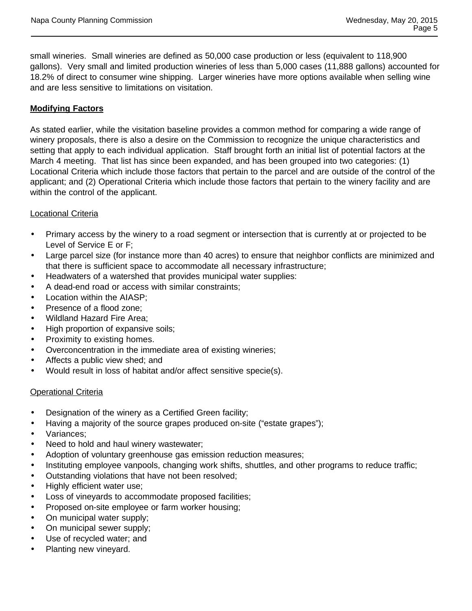small wineries. Small wineries are defined as 50,000 case production or less (equivalent to 118,900 gallons). Very small and limited production wineries of less than 5,000 cases (11,888 gallons) accounted for 18.2% of direct to consumer wine shipping. Larger wineries have more options available when selling wine and are less sensitive to limitations on visitation.

# **Modifying Factors**

As stated earlier, while the visitation baseline provides a common method for comparing a wide range of winery proposals, there is also a desire on the Commission to recognize the unique characteristics and setting that apply to each individual application. Staff brought forth an initial list of potential factors at the March 4 meeting. That list has since been expanded, and has been grouped into two categories: (1) Locational Criteria which include those factors that pertain to the parcel and are outside of the control of the applicant; and (2) Operational Criteria which include those factors that pertain to the winery facility and are within the control of the applicant.

# Locational Criteria

- Primary access by the winery to a road segment or intersection that is currently at or projected to be Level of Service E or F;
- Large parcel size (for instance more than 40 acres) to ensure that neighbor conflicts are minimized and that there is sufficient space to accommodate all necessary infrastructure;
- Headwaters of a watershed that provides municipal water supplies:
- A dead-end road or access with similar constraints;
- Location within the AIASP;
- Presence of a flood zone;
- Wildland Hazard Fire Area;
- High proportion of expansive soils;
- Proximity to existing homes.
- Overconcentration in the immediate area of existing wineries;
- Affects a public view shed; and
- Would result in loss of habitat and/or affect sensitive specie(s).

## Operational Criteria

- Designation of the winery as a Certified Green facility;
- Having a majority of the source grapes produced on-site ("estate grapes"); Variances;
- Need to hold and haul winery wastewater;
- Adoption of voluntary greenhouse gas emission reduction measures;
- Instituting employee vanpools, changing work shifts, shuttles, and other programs to reduce traffic;
- Outstanding violations that have not been resolved;
- Highly efficient water use;
- Loss of vineyards to accommodate proposed facilities;
- Proposed on-site employee or farm worker housing;
- On municipal water supply;
- On municipal sewer supply;
- Use of recycled water; and
- Planting new vineyard.